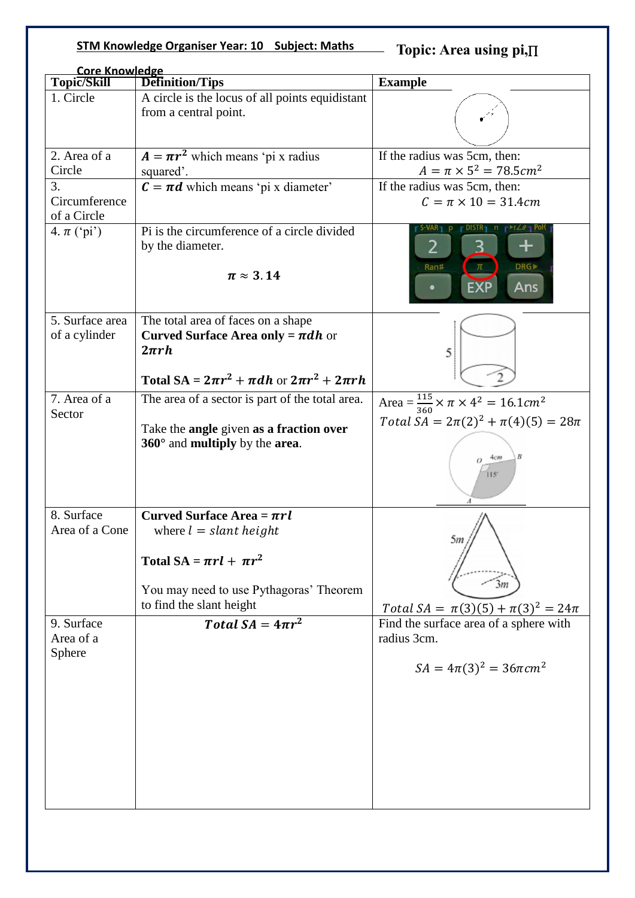## **STM Knowledge Organiser Year: 10 Subject: Maths**

**Topic: Area using pi,**

| <b>Core Knowledge</b>              |                                                                                                                                                                       |                                                                                                                               |  |
|------------------------------------|-----------------------------------------------------------------------------------------------------------------------------------------------------------------------|-------------------------------------------------------------------------------------------------------------------------------|--|
| Topic/Skill                        | <b>Definition/Tips</b>                                                                                                                                                | <b>Example</b>                                                                                                                |  |
| 1. Circle                          | A circle is the locus of all points equidistant<br>from a central point.                                                                                              |                                                                                                                               |  |
| 2. Area of a<br>Circle             | $A = \pi r^2$ which means 'pi x radius<br>squared'.                                                                                                                   | If the radius was 5cm, then:<br>$A = \pi \times 5^2 = 78.5 cm^2$                                                              |  |
| 3.<br>Circumference<br>of a Circle | $\mathbf{C} = \pi \mathbf{d}$ which means 'pi x diameter'                                                                                                             | If the radius was 5cm, then:<br>$C = \pi \times 10 = 31.4cm$                                                                  |  |
| 4. $\pi$ ('pi')                    | Pi is the circumference of a circle divided<br>by the diameter.<br>$\pi \approx 3.14$                                                                                 | $\Gamma$ די די $\Delta\theta$<br>╈<br>2<br><b>DRG</b><br>Ran#<br>Ans                                                          |  |
| 5. Surface area<br>of a cylinder   | The total area of faces on a shape<br><b>Curved Surface Area only = <math>\pi dh</math> or</b><br>$2\pi rh$<br>Total SA = $2\pi r^2 + \pi dh$ or $2\pi r^2 + 2\pi rh$ | 5                                                                                                                             |  |
| 7. Area of a<br>Sector             | The area of a sector is part of the total area.<br>Take the angle given as a fraction over<br>$360^\circ$ and multiply by the area.                                   | Area = $\frac{115}{360} \times \pi \times 4^2 = 16.1 \text{cm}^2$<br>Total $SA = 2\pi(2)^2 + \pi(4)(5) = 28\pi$<br>4cm<br>115 |  |
| 8. Surface<br>Area of a Cone       | Curved Surface Area = $\pi r l$<br>where $l = slant height$<br>Total SA = $\pi r l + \pi r^2$<br>You may need to use Pythagoras' Theorem<br>to find the slant height  | эm<br>3m<br>Total $SA = \pi(3)(5) + \pi(3)^2 = 24\pi$                                                                         |  |
| 9. Surface<br>Area of a<br>Sphere  | Total $SA = 4\pi r^2$                                                                                                                                                 | Find the surface area of a sphere with<br>radius 3cm.<br>$SA = 4\pi(3)^2 = 36\pi$ cm <sup>2</sup>                             |  |